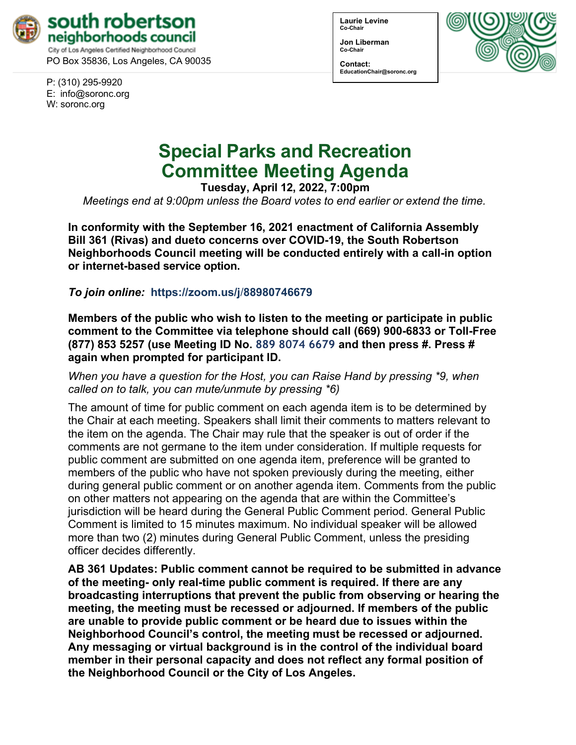

PO Box 35836, Los Angeles, CA 90035

P: (310) 295-9920 E: [info@soronc.org](mailto:info@soronc.org) W: soronc.org

**Laurie Levine Co-Chair**

**Jon Liberman Co-Chair**

**Contact: [EducationChair@soronc.org](mailto:EducationChair@soronc.org)**



# **Special Parks and Recreation Committee Meeting Agenda**

**Tuesday, April 12, 2022, 7:00pm**

*Meetings end at 9:00pm unless the Board votes to end earlier or extend the time.*

**In conformity with the September 16, 2021 enactment of California Assembly Bill 361 (Rivas) and dueto concerns over COVID-19, the South Robertson Neighborhoods Council meeting will be conducted entirely with a call-in option or internet-based service option.**

*To join online:* **https://zoom.us/j**/**88980746679**

**Members of the public who wish to listen to the meeting or participate in public comment to the Committee via telephone should call (669) 900-6833 or Toll-Free (877) 853 5257 (use Meeting ID No. 889 8074 6679 and then press #. Press # again when prompted for participant ID.**

*When you have a question for the Host, you can Raise Hand by pressing \*9, when called on to talk, you can mute/unmute by pressing \*6)*

The amount of time for public comment on each agenda item is to be determined by the Chair at each meeting. Speakers shall limit their comments to matters relevant to the item on the agenda. The Chair may rule that the speaker is out of order if the comments are not germane to the item under consideration. If multiple requests for public comment are submitted on one agenda item, preference will be granted to members of the public who have not spoken previously during the meeting, either during general public comment or on another agenda item. Comments from the public on other matters not appearing on the agenda that are within the Committee's jurisdiction will be heard during the General Public Comment period. General Public Comment is limited to 15 minutes maximum. No individual speaker will be allowed more than two (2) minutes during General Public Comment, unless the presiding officer decides differently.

**AB 361 Updates: Public comment cannot be required to be submitted in advance of the meeting- only real-time public comment is required. If there are any broadcasting interruptions that prevent the public from observing or hearing the meeting, the meeting must be recessed or adjourned. If members of the public are unable to provide public comment or be heard due to issues within the Neighborhood Council's control, the meeting must be recessed or adjourned. Any messaging or virtual background is in the control of the individual board member in their personal capacity and does not reflect any formal position of the Neighborhood Council or the City of Los Angeles.**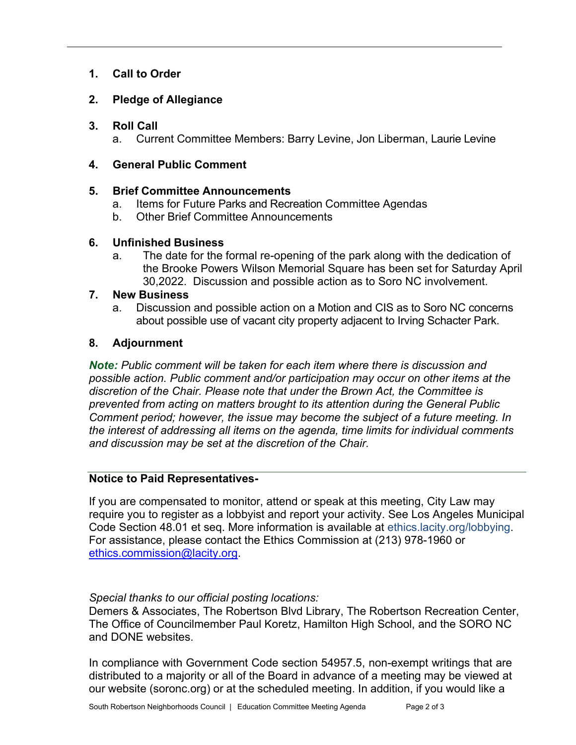## **1. Call to Order**

# **2. Pledge of Allegiance**

## **3. Roll Call**

a. Current Committee Members: Barry Levine, Jon Liberman, Laurie Levine

## **4. General Public Comment**

## **5. Brief Committee Announcements**

- a. Items for Future Parks and Recreation Committee Agendas
- b. Other Brief Committee Announcements

## **6. Unfinished Business**

a.The date for the formal re-opening of the park along with the dedication of the Brooke Powers Wilson Memorial Square has been set for Saturday April 30,2022. Discussion and possible action as to Soro NC involvement.

#### **7. New Business**

a. Discussion and possible action on a Motion and CIS as to Soro NC concerns about possible use of vacant city property adjacent to Irving Schacter Park.

## **8. Adjournment**

*Note: Public comment will be taken for each item where there is discussion and possible action. Public comment and/or participation may occur on other items at the discretion of the Chair. Please note that under the Brown Act, the Committee is prevented from acting on matters brought to its attention during the General Public Comment period; however, the issue may become the subject of a future meeting. In the interest of addressing all items on the agenda, time limits for individual comments and discussion may be set at the discretion of the Chair.*

#### **Notice to Paid Representatives-**

If you are compensated to monitor, attend or speak at this meeting, City Law may require you to register as a lobbyist and report your activity. See Los Angeles Municipal Code Section 48.01 et seq. More information is available at ethics.lacity.org/lobbying. For assistance, please contact the Ethics Commission at (213) 978-1960 or [ethics.commission@lacity.org.](mailto:ethics.commission@lacity.org)

#### *Special thanks to our official posting locations:*

Demers & Associates, The Robertson Blvd Library, The Robertson Recreation Center, The Office of Councilmember Paul Koretz, Hamilton High School, and the SORO NC and DONE websites.

In compliance with Government Code section 54957.5, non-exempt writings that are distributed to a majority or all of the Board in advance of a meeting may be viewed at our website (soronc.org) or at the scheduled meeting. In addition, if you would like a